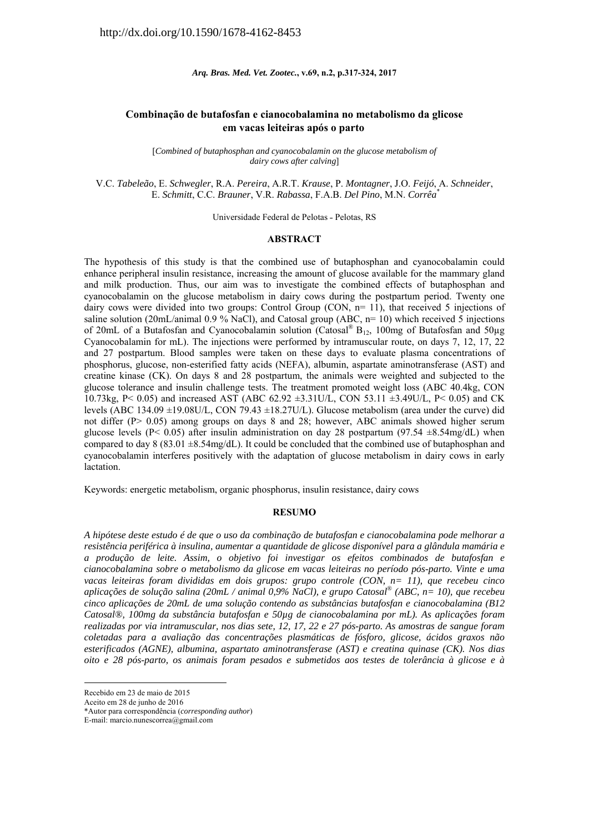*Arq. Bras. Med. Vet. Zootec.***, v.69, n.2, p.317-324, 2017** 

# **Combinação de butafosfan e cianocobalamina no metabolismo da glicose em vacas leiteiras após o parto**

*Combined of butaphosphan and cyanocobalamin on the glucose metabolism of dairy cows after calving*]

V.C. *Tabeleão*, E. *Schwegler*, R.A. *Pereira*, A.R.T. *Krause*, P. *Montagner*, J.O. *Feijó*, A. *Schneider*, E. *Schmitt*, C.C. *Brauner*, V.R. *Rabassa*, F.A.B. *Del Pino*, M.N. *Corrêa*\*

Universidade Federal de Pelotas - Pelotas, RS

#### **ABSTRACT**

The hypothesis of this study is that the combined use of butaphosphan and cyanocobalamin could enhance peripheral insulin resistance, increasing the amount of glucose available for the mammary gland and milk production. Thus, our aim was to investigate the combined effects of butaphosphan and cyanocobalamin on the glucose metabolism in dairy cows during the postpartum period. Twenty one dairy cows were divided into two groups: Control Group (CON,  $n=11$ ), that received 5 injections of saline solution (20mL/animal 0.9 % NaCl), and Catosal group (ABC,  $n=10$ ) which received 5 injections of 20mL of a Butafosfan and Cyanocobalamin solution (Catosal<sup>®</sup> B<sub>12</sub>, 100mg of Butafosfan and 50µg Cyanocobalamin for mL). The injections were performed by intramuscular route, on days 7, 12, 17, 22 and 27 postpartum. Blood samples were taken on these days to evaluate plasma concentrations of phosphorus, glucose, non-esterified fatty acids (NEFA), albumin, aspartate aminotransferase (AST) and creatine kinase (CK). On days 8 and 28 postpartum, the animals were weighted and subjected to the glucose tolerance and insulin challenge tests. The treatment promoted weight loss (ABC 40.4kg, CON 10.73kg, P< 0.05) and increased AST (ABC 62.92 ±3.31U/L, CON 53.11 ±3.49U/L, P< 0.05) and CK levels (ABC 134.09 ±19.08U/L, CON 79.43 ±18.27U/L). Glucose metabolism (area under the curve) did not differ (P> 0.05) among groups on days 8 and 28; however, ABC animals showed higher serum glucose levels (P< 0.05) after insulin administration on day 28 postpartum (97.54  $\pm 8.54$ mg/dL) when compared to day 8 (83.01  $\pm$ 8.54mg/dL). It could be concluded that the combined use of butaphosphan and cyanocobalamin interferes positively with the adaptation of glucose metabolism in dairy cows in early lactation.

Keywords: energetic metabolism, organic phosphorus, insulin resistance, dairy cows

#### **RESUMO**

*A hipótese deste estudo é de que o uso da combinação de butafosfan e cianocobalamina pode melhorar a resistência periférica à insulina, aumentar a quantidade de glicose disponível para a glândula mamária e a produção de leite. Assim, o objetivo foi investigar os efeitos combinados de butafosfan e cianocobalamina sobre o metabolismo da glicose em vacas leiteiras no período pós-parto. Vinte e uma vacas leiteiras foram divididas em dois grupos: grupo controle (CON, n= 11), que recebeu cinco aplicações de solução salina (20mL / animal 0,9% NaCl), e grupo Catosal® (ABC, n= 10), que recebeu cinco aplicações de 20mL de uma solução contendo as substâncias butafosfan e cianocobalamina (B12 Catosal®, 100mg da substância butafosfan e 50µg de cianocobalamina por mL). As aplicações foram realizadas por via intramuscular, nos dias sete, 12, 17, 22 e 27 pós-parto. As amostras de sangue foram coletadas para a avaliação das concentrações plasmáticas de fósforo, glicose, ácidos graxos não esterificados (AGNE), albumina, aspartato aminotransferase (AST) e creatina quinase (CK). Nos dias oito e 28 pós-parto, os animais foram pesados e submetidos aos testes de tolerância à glicose e à* 

1

Recebido em 23 de maio de 2015

Aceito em 28 de junho de 2016

<sup>\*</sup>Autor para correspondência (*corresponding author*)

E-mail: marcio.nunescorrea@gmail.com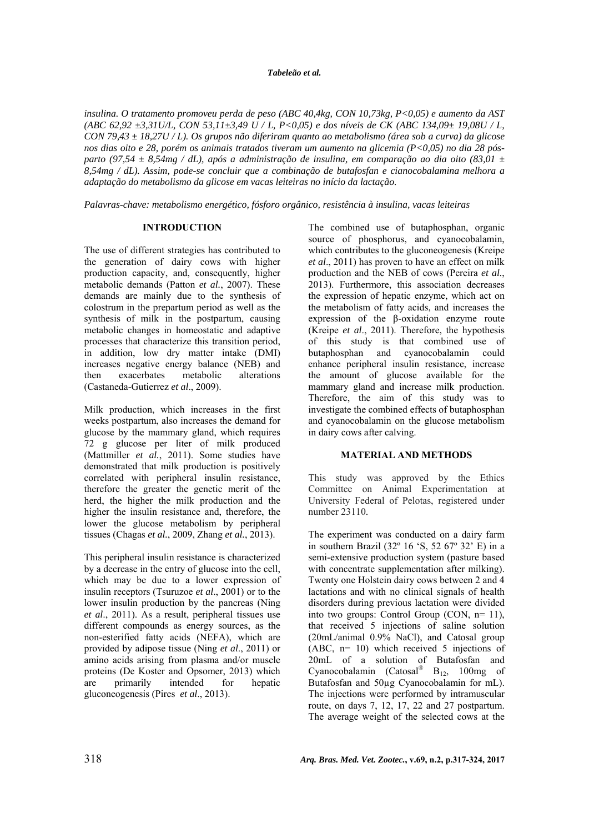#### *Tabeleão et al.*

*insulina. O tratamento promoveu perda de peso (ABC 40,4kg, CON 10,73kg, P<0,05) e aumento da AST (ABC 62,92 ±3,31U/L, CON 53,11±3,49 U / L, P<0,05) e dos níveis de CK (ABC 134,09± 19,08U / L, CON 79,43 ± 18,27U / L). Os grupos não diferiram quanto ao metabolismo (área sob a curva) da glicose nos dias oito e 28, porém os animais tratados tiveram um aumento na glicemia (P<0,05) no dia 28 pósparto (97,54 ± 8,54mg / dL), após a administração de insulina, em comparação ao dia oito (83,01 ± 8,54mg / dL). Assim, pode-se concluir que a combinação de butafosfan e cianocobalamina melhora a adaptação do metabolismo da glicose em vacas leiteiras no início da lactação.* 

*Palavras-chave: metabolismo energético, fósforo orgânico, resistência à insulina, vacas leiteiras* 

## **INTRODUCTION**

The use of different strategies has contributed to the generation of dairy cows with higher production capacity, and, consequently, higher metabolic demands (Patton *et al.*, 2007). These demands are mainly due to the synthesis of colostrum in the prepartum period as well as the synthesis of milk in the postpartum, causing metabolic changes in homeostatic and adaptive processes that characterize this transition period, in addition, low dry matter intake (DMI) increases negative energy balance (NEB) and then exacerbates metabolic alterations (Castaneda-Gutierrez *et al*., 2009).

Milk production, which increases in the first weeks postpartum, also increases the demand for glucose by the mammary gland, which requires 72 g glucose per liter of milk produced (Mattmiller *et al.*, 2011). Some studies have demonstrated that milk production is positively correlated with peripheral insulin resistance, therefore the greater the genetic merit of the herd, the higher the milk production and the higher the insulin resistance and, therefore, the lower the glucose metabolism by peripheral tissues (Chagas *et al.*, 2009, Zhang *et al.*, 2013).

This peripheral insulin resistance is characterized by a decrease in the entry of glucose into the cell, which may be due to a lower expression of insulin receptors (Tsuruzoe *et al*., 2001) or to the lower insulin production by the pancreas (Ning *et al*., 2011). As a result, peripheral tissues use different compounds as energy sources, as the non-esterified fatty acids (NEFA), which are provided by adipose tissue (Ning *et al*., 2011) or amino acids arising from plasma and/or muscle proteins (De Koster and Opsomer, 2013) which are primarily intended for hepatic gluconeogenesis (Pires *et al*., 2013).

The combined use of butaphosphan, organic source of phosphorus, and cyanocobalamin, which contributes to the gluconeogenesis (Kreipe *et al*., 2011) has proven to have an effect on milk production and the NEB of cows (Pereira *et al.*, 2013). Furthermore, this association decreases the expression of hepatic enzyme, which act on the metabolism of fatty acids, and increases the expression of the β-oxidation enzyme route (Kreipe *et al*., 2011). Therefore, the hypothesis of this study is that combined use of butaphosphan and cyanocobalamin could enhance peripheral insulin resistance, increase the amount of glucose available for the mammary gland and increase milk production. Therefore, the aim of this study was to investigate the combined effects of butaphosphan and cyanocobalamin on the glucose metabolism in dairy cows after calving.

#### **MATERIAL AND METHODS**

This study was approved by the Ethics Committee on Animal Experimentation at University Federal of Pelotas, registered under number 23110.

The experiment was conducted on a dairy farm in southern Brazil (32º 16 'S, 52 67º 32' E) in a semi-extensive production system (pasture based with concentrate supplementation after milking). Twenty one Holstein dairy cows between 2 and 4 lactations and with no clinical signals of health disorders during previous lactation were divided into two groups: Control Group (CON, n= 11), that received 5 injections of saline solution (20mL/animal 0.9% NaCl), and Catosal group (ABC, n= 10) which received 5 injections of 20mL of a solution of Butafosfan and Cyanocobalamin (Catosal®  $B_{12}$ , 100mg of Butafosfan and 50µg Cyanocobalamin for mL). The injections were performed by intramuscular route, on days 7, 12, 17, 22 and 27 postpartum. The average weight of the selected cows at the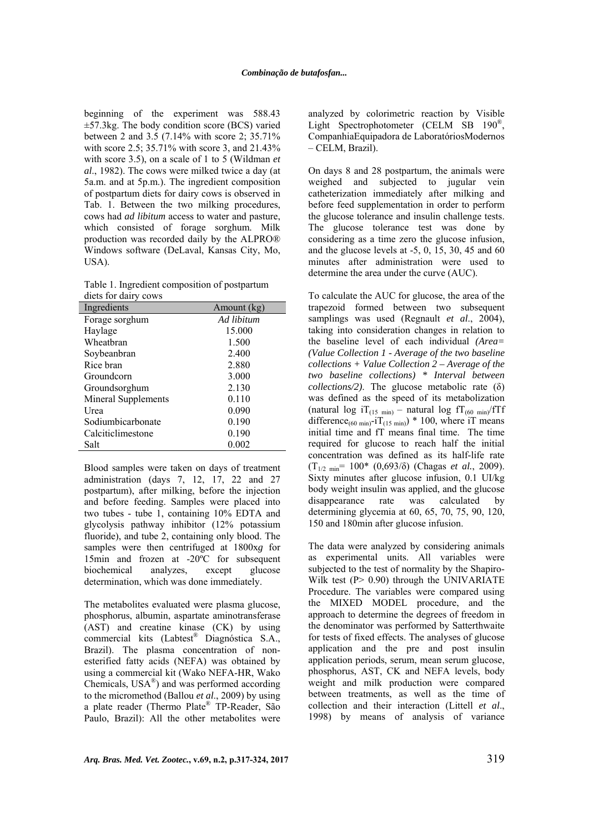beginning of the experiment was 588.43 ±57.3kg. The body condition score (BCS) varied between 2 and 3.5 (7.14% with score 2; 35.71% with score 2.5; 35.71% with score 3, and 21.43% with score 3.5), on a scale of 1 to 5 (Wildman *et al*., 1982). The cows were milked twice a day (at 5a.m. and at 5p.m.). The ingredient composition of postpartum diets for dairy cows is observed in Tab. 1. Between the two milking procedures, cows had *ad libitum* access to water and pasture, which consisted of forage sorghum. Milk production was recorded daily by the ALPRO® Windows software (DeLaval, Kansas City, Mo, USA).

Table 1. Ingredient composition of postpartum diets for dairy cows

| Ingredients         | Amount (kg) |
|---------------------|-------------|
| Forage sorghum      | Ad libitum  |
| Haylage             | 15.000      |
| Wheatbran           | 1.500       |
| Soybeanbran         | 2.400       |
| Rice bran           | 2.880       |
| Groundcorn          | 3.000       |
| Groundsorghum       | 2.130       |
| Mineral Supplements | 0.110       |
| Urea                | 0.090       |
| Sodiumbicarbonate   | 0.190       |
| Calciticlimestone   | 0.190       |
| Salt                | 0.002       |

Blood samples were taken on days of treatment administration (days 7, 12, 17, 22 and 27 postpartum), after milking, before the injection and before feeding. Samples were placed into two tubes - tube 1, containing 10% EDTA and glycolysis pathway inhibitor (12% potassium fluoride), and tube 2, containing only blood. The samples were then centrifuged at 1800x*g* for 15min and frozen at -20ºC for subsequent biochemical analyzes, except glucose determination, which was done immediately.

The metabolites evaluated were plasma glucose, phosphorus, albumin, aspartate aminotransferase (AST) and creatine kinase (CK) by using commercial kits (Labtest® Diagnóstica S.A., Brazil). The plasma concentration of nonesterified fatty acids (NEFA) was obtained by using a commercial kit (Wako NEFA-HR, Wako Chemicals, USA®) and was performed according to the micromethod (Ballou *et al*., 2009) by using a plate reader (Thermo Plate® TP-Reader, São Paulo, Brazil): All the other metabolites were

analyzed by colorimetric reaction by Visible Light Spectrophotometer (CELM SB 190<sup>®</sup>, CompanhiaEquipadora de LaboratóriosModernos – CELM, Brazil).

On days 8 and 28 postpartum, the animals were weighed and subjected to jugular vein catheterization immediately after milking and before feed supplementation in order to perform the glucose tolerance and insulin challenge tests. The glucose tolerance test was done by considering as a time zero the glucose infusion, and the glucose levels at -5, 0, 15, 30, 45 and 60 minutes after administration were used to determine the area under the curve (AUC).

To calculate the AUC for glucose, the area of the trapezoid formed between two subsequent samplings was used (Regnault *et al*., 2004), taking into consideration changes in relation to the baseline level of each individual *(Area= (Value Collection 1 - Average of the two baseline collections + Value Collection 2 – Average of the two baseline collections) \* Interval between collections/2)*. The glucose metabolic rate (δ) was defined as the speed of its metabolization (natural log iT<sub>(15 min)</sub> – natural log fT<sub>(60 min</sub>) fTf difference<sub>(60 min)</sub>-iT<sub>(15 min)</sub>) \* 100, where iT means initial time and fT means final time. The time required for glucose to reach half the initial concentration was defined as its half-life rate (T1/2 min= 100\* (0,693/δ) (Chagas *et al.*, 2009). Sixty minutes after glucose infusion, 0.1 UI/kg body weight insulin was applied, and the glucose disappearance rate was calculated by determining glycemia at 60, 65, 70, 75, 90, 120, 150 and 180min after glucose infusion.

The data were analyzed by considering animals as experimental units. All variables were subjected to the test of normality by the Shapiro-Wilk test (P > 0.90) through the UNIVARIATE Procedure. The variables were compared using the MIXED MODEL procedure, and the approach to determine the degrees of freedom in the denominator was performed by Satterthwaite for tests of fixed effects. The analyses of glucose application and the pre and post insulin application periods, serum, mean serum glucose, phosphorus, AST, CK and NEFA levels, body weight and milk production were compared between treatments, as well as the time of collection and their interaction (Littell *et al*., 1998) by means of analysis of variance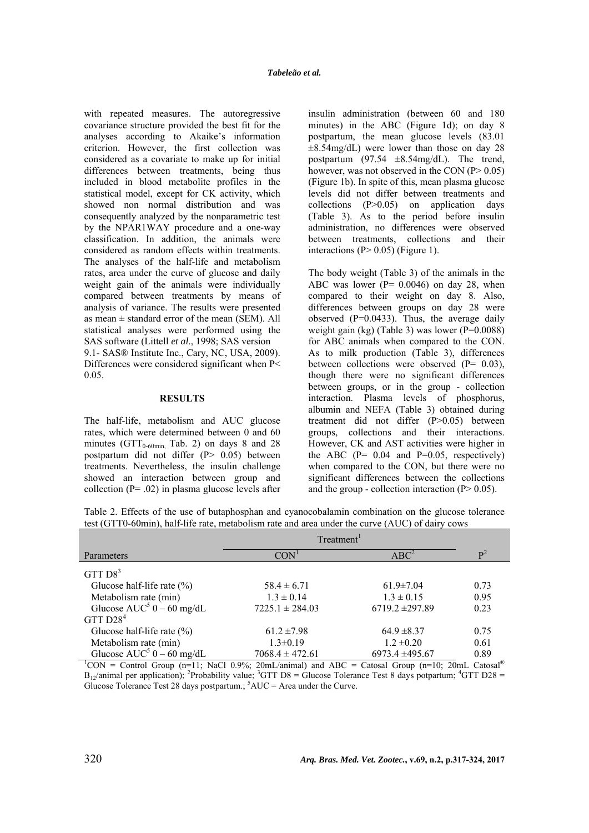with repeated measures. The autoregressive covariance structure provided the best fit for the analyses according to Akaike's information criterion. However, the first collection was considered as a covariate to make up for initial differences between treatments, being thus included in blood metabolite profiles in the statistical model, except for CK activity, which showed non normal distribution and was consequently analyzed by the nonparametric test by the NPAR1WAY procedure and a one-way classification. In addition, the animals were considered as random effects within treatments. The analyses of the half-life and metabolism rates, area under the curve of glucose and daily weight gain of the animals were individually compared between treatments by means of analysis of variance. The results were presented as mean  $\pm$  standard error of the mean (SEM). All statistical analyses were performed using the SAS software (Littell *et al*., 1998; SAS version 9.1- SAS® Institute Inc., Cary, NC, USA, 2009). Differences were considered significant when P< 0.05.

#### **RESULTS**

The half-life, metabolism and AUC glucose rates, which were determined between 0 and 60 minutes ( $GTT_{0.60min}$ , Tab. 2) on days 8 and 28 postpartum did not differ (P> 0.05) between treatments. Nevertheless, the insulin challenge showed an interaction between group and collection ( $P = .02$ ) in plasma glucose levels after insulin administration (between 60 and 180 minutes) in the ABC (Figure 1d); on day 8 postpartum, the mean glucose levels (83.01  $\pm 8.54$ mg/dL) were lower than those on day 28 postpartum  $(97.54 \pm 8.54 \text{mg/dL})$ . The trend, however, was not observed in the CON  $(P> 0.05)$ (Figure 1b). In spite of this, mean plasma glucose levels did not differ between treatments and collections (P>0.05) on application days (Table 3). As to the period before insulin administration, no differences were observed between treatments, collections and their interactions ( $P > 0.05$ ) (Figure 1).

The body weight (Table 3) of the animals in the ABC was lower ( $P = 0.0046$ ) on day 28, when compared to their weight on day 8. Also, differences between groups on day 28 were observed ( $P=0.0433$ ). Thus, the average daily weight gain (kg) (Table 3) was lower (P=0.0088) for ABC animals when compared to the CON. As to milk production (Table 3), differences between collections were observed (P= 0.03), though there were no significant differences between groups, or in the group - collection interaction. Plasma levels of phosphorus, albumin and NEFA (Table 3) obtained during treatment did not differ (P>0.05) between groups, collections and their interactions. However, CK and AST activities were higher in the ABC ( $P = 0.04$  and  $P = 0.05$ , respectively) when compared to the CON, but there were no significant differences between the collections and the group - collection interaction  $(P> 0.05)$ .

Table 2. Effects of the use of butaphosphan and cyanocobalamin combination on the glucose tolerance test (GTT0-60min), half-life rate, metabolism rate and area under the curve (AUC) of dairy cows

|                                                                                                                  | Treatment <sup>1</sup> |                     |                |
|------------------------------------------------------------------------------------------------------------------|------------------------|---------------------|----------------|
| Parameters                                                                                                       | CON <sup>1</sup>       | $ABC^2$             | $\mathbf{P}^2$ |
| GTT $D8^3$                                                                                                       |                        |                     |                |
| Glucose half-life rate $(\%)$                                                                                    | $58.4 \pm 6.71$        | $61.9 \pm 7.04$     | 0.73           |
| Metabolism rate (min)                                                                                            | $1.3 \pm 0.14$         | $1.3 \pm 0.15$      | 0.95           |
| Glucose $AUC^5$ 0 – 60 mg/dL                                                                                     | $7225.1 \pm 284.03$    | $6719.2 \pm 297.89$ | 0.23           |
| GTT $D284$                                                                                                       |                        |                     |                |
| Glucose half-life rate $(\%)$                                                                                    | $61.2 \pm 7.98$        | $64.9 \pm 8.37$     | 0.75           |
| Metabolism rate (min)                                                                                            | $1.3 \pm 0.19$         | $1.2 \pm 0.20$      | 0.61           |
| Glucose $AUC^5$ 0 – 60 mg/dL                                                                                     | $7068.4 \pm 472.61$    | 6973.4 ±495.67      | 0.89           |
| $^1$ CON = Control Group (n=11; NaCl 0.9%; 20mL/animal) and ABC = Catosal Group (n=10; 20mL Catosal <sup>®</sup> |                        |                     |                |

 $B_{12}$ /animal per application); <sup>2</sup>Probability value; <sup>3</sup>GTT D8 = Glucose Tolerance Test 8 days potpartum; <sup>4</sup>GTT D28 = Glucose Tolerance Test 28 days postpartum.;  ${}^{5}$ AUC = Area under the Curve.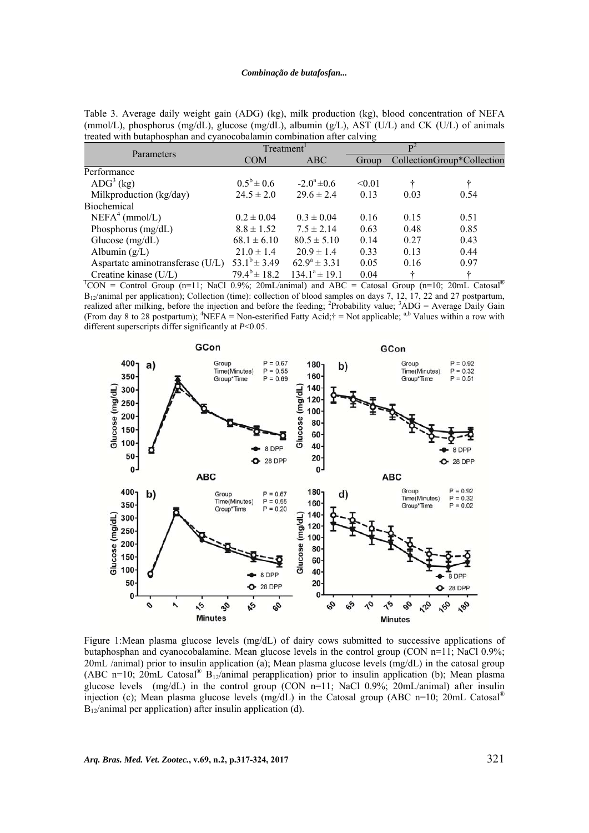Table 3. Average daily weight gain (ADG) (kg), milk production (kg), blood concentration of NEFA (mmol/L), phosphorus (mg/dL), glucose (mg/dL), albumin (g/L), AST (U/L) and CK (U/L) of animals treated with butaphosphan and cyanocobalamin combination after calving

| Parameters                                                                                               | Treatment <sup>1</sup>  |                    | $\mathbf{p}^2$ |      |                            |  |  |
|----------------------------------------------------------------------------------------------------------|-------------------------|--------------------|----------------|------|----------------------------|--|--|
|                                                                                                          | <b>COM</b>              | <b>ABC</b>         | Group          |      | CollectionGroup*Collection |  |  |
| Performance                                                                                              |                         |                    |                |      |                            |  |  |
| $\text{ADG}^3$ (kg)                                                                                      | $0.5^b \pm 0.6$         | $-2.0^a \pm 0.6$   | < 0.01         |      |                            |  |  |
| Milkproduction (kg/day)                                                                                  | $24.5 \pm 2.0$          | $29.6 \pm 2.4$     | 0.13           | 0.03 | 0.54                       |  |  |
| <b>Biochemical</b>                                                                                       |                         |                    |                |      |                            |  |  |
| $NEFA4$ (mmol/L)                                                                                         | $0.2 \pm 0.04$          | $0.3 \pm 0.04$     | 0.16           | 0.15 | 0.51                       |  |  |
| Phosphorus (mg/dL)                                                                                       | $8.8 \pm 1.52$          | $7.5 \pm 2.14$     | 0.63           | 0.48 | 0.85                       |  |  |
| Glucose $(mg/dL)$                                                                                        | $68.1 \pm 6.10$         | $80.5 \pm 5.10$    | 0.14           | 0.27 | 0.43                       |  |  |
| Albumin $(g/L)$                                                                                          | $21.0 \pm 1.4$          | $20.9 \pm 1.4$     | 0.33           | 0.13 | 0.44                       |  |  |
| Aspartate aminotransferase (U/L)                                                                         | $53.1^b \pm 3.49$       | $62.9^a \pm 3.31$  | 0.05           | 0.16 | 0.97                       |  |  |
| Creatine kinase (U/L)                                                                                    | $79.4^{\rm b} \pm 18.2$ | $134.1^a \pm 19.1$ | 0.04           | ÷    | ÷                          |  |  |
| ${}^{1}$ CON = Control Group (n=11; NaCl 0.9%; 20mL/animal) and ABC = Catosal Group (n=10; 20mL Catosal® |                         |                    |                |      |                            |  |  |

B12/animal per application); Collection (time): collection of blood samples on days 7, 12, 17, 22 and 27 postpartum, realized after milking, before the injection and before the feeding; <sup>2</sup>Probability value; <sup>3</sup>ADG = Average Daily Gain (From day 8 to 28 postpartum); <sup>4</sup>NEFA = Non-esterified Fatty Acid; $\dagger$  = Not applicable; <sup>a,b</sup> Values within a row with different superscripts differ significantly at *P*<0.05.



Figure 1:Mean plasma glucose levels (mg/dL) of dairy cows submitted to successive applications of butaphosphan and cyanocobalamine. Mean glucose levels in the control group (CON n=11; NaCl 0.9%; 20mL /animal) prior to insulin application (a); Mean plasma glucose levels (mg/dL) in the catosal group (ABC n=10; 20mL Catosal<sup>®</sup> B<sub>12</sub>/animal perapplication) prior to insulin application (b); Mean plasma glucose levels (mg/dL) in the control group (CON n=11; NaCl 0.9%; 20mL/animal) after insulin injection (c); Mean plasma glucose levels (mg/dL) in the Catosal group (ABC n=10; 20mL Catosal®  $B_{12}$ /animal per application) after insulin application (d).

*Arq. Bras. Med. Vet. Zootec.***, v.69, n.2, p.317-324, 2017** 321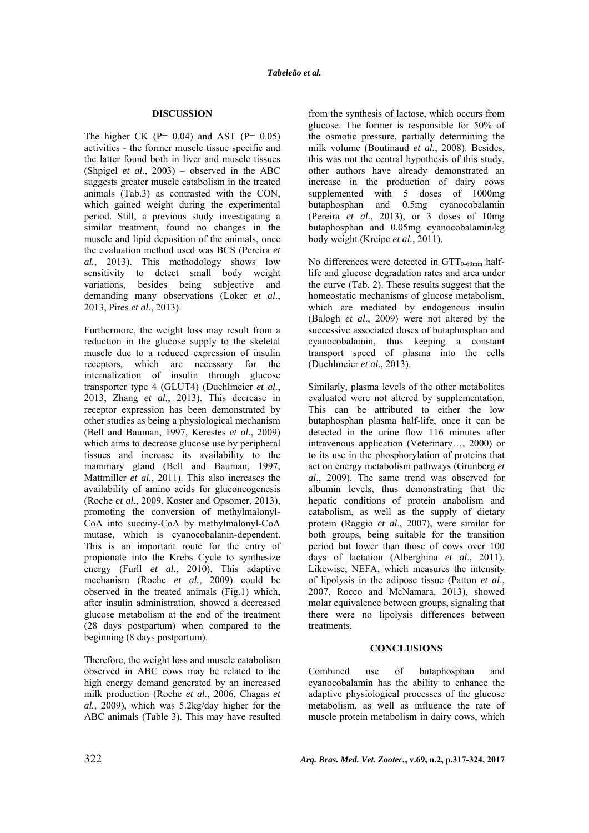## **DISCUSSION**

The higher CK  $(P= 0.04)$  and AST  $(P= 0.05)$ activities - the former muscle tissue specific and the latter found both in liver and muscle tissues (Shpigel *et al*., 2003) – observed in the ABC suggests greater muscle catabolism in the treated animals (Tab.3) as contrasted with the CON, which gained weight during the experimental period. Still, a previous study investigating a similar treatment, found no changes in the muscle and lipid deposition of the animals, once the evaluation method used was BCS (Pereira *et al.*, 2013). This methodology shows low sensitivity to detect small body weight variations, besides being subjective and demanding many observations (Loker *et al.*, 2013, Pires *et al.*, 2013).

Furthermore, the weight loss may result from a reduction in the glucose supply to the skeletal muscle due to a reduced expression of insulin receptors, which are necessary for the internalization of insulin through glucose transporter type 4 (GLUT4) (Duehlmeier *et al.*, 2013, Zhang *et al.*, 2013). This decrease in receptor expression has been demonstrated by other studies as being a physiological mechanism (Bell and Bauman, 1997, Kerestes *et al.*, 2009) which aims to decrease glucose use by peripheral tissues and increase its availability to the mammary gland (Bell and Bauman, 1997, Mattmiller *et al.*, 2011). This also increases the availability of amino acids for gluconeogenesis (Roche *et al.*, 2009, Koster and Opsomer, 2013), promoting the conversion of methylmalonyl-CoA into succiny-CoA by methylmalonyl-CoA mutase, which is cyanocobalanin-dependent. This is an important route for the entry of propionate into the Krebs Cycle to synthesize energy (Furll *et al.*, 2010). This adaptive mechanism (Roche *et al.*, 2009) could be observed in the treated animals (Fig.1) which, after insulin administration, showed a decreased glucose metabolism at the end of the treatment (28 days postpartum) when compared to the beginning (8 days postpartum).

Therefore, the weight loss and muscle catabolism observed in ABC cows may be related to the high energy demand generated by an increased milk production (Roche *et al.*, 2006, Chagas *et al.*, 2009), which was 5.2kg/day higher for the ABC animals (Table 3). This may have resulted from the synthesis of lactose, which occurs from glucose. The former is responsible for 50% of the osmotic pressure, partially determining the milk volume (Boutinaud *et al.*, 2008). Besides, this was not the central hypothesis of this study, other authors have already demonstrated an increase in the production of dairy cows supplemented with 5 doses of 1000mg butaphosphan and 0.5mg cyanocobalamin (Pereira *et al.*, 2013), or 3 doses of 10mg butaphosphan and 0.05mg cyanocobalamin/kg body weight (Kreipe *et al.*, 2011).

No differences were detected in  $GTT_{0-60min}$  halflife and glucose degradation rates and area under the curve (Tab. 2). These results suggest that the homeostatic mechanisms of glucose metabolism, which are mediated by endogenous insulin (Balogh *et al*., 2009) were not altered by the successive associated doses of butaphosphan and cyanocobalamin, thus keeping a constant transport speed of plasma into the cells (Duehlmeier *et al.*, 2013).

Similarly, plasma levels of the other metabolites evaluated were not altered by supplementation. This can be attributed to either the low butaphosphan plasma half-life, once it can be detected in the urine flow 116 minutes after intravenous application (Veterinary…, 2000) or to its use in the phosphorylation of proteins that act on energy metabolism pathways (Grunberg *et al*., 2009). The same trend was observed for albumin levels, thus demonstrating that the hepatic conditions of protein anabolism and catabolism, as well as the supply of dietary protein (Raggio *et al*., 2007), were similar for both groups, being suitable for the transition period but lower than those of cows over 100 days of lactation (Alberghina *et al*., 2011). Likewise, NEFA, which measures the intensity of lipolysis in the adipose tissue (Patton *et al*., 2007, Rocco and McNamara, 2013), showed molar equivalence between groups, signaling that there were no lipolysis differences between treatments.

### **CONCLUSIONS**

Combined use of butaphosphan and cyanocobalamin has the ability to enhance the adaptive physiological processes of the glucose metabolism, as well as influence the rate of muscle protein metabolism in dairy cows, which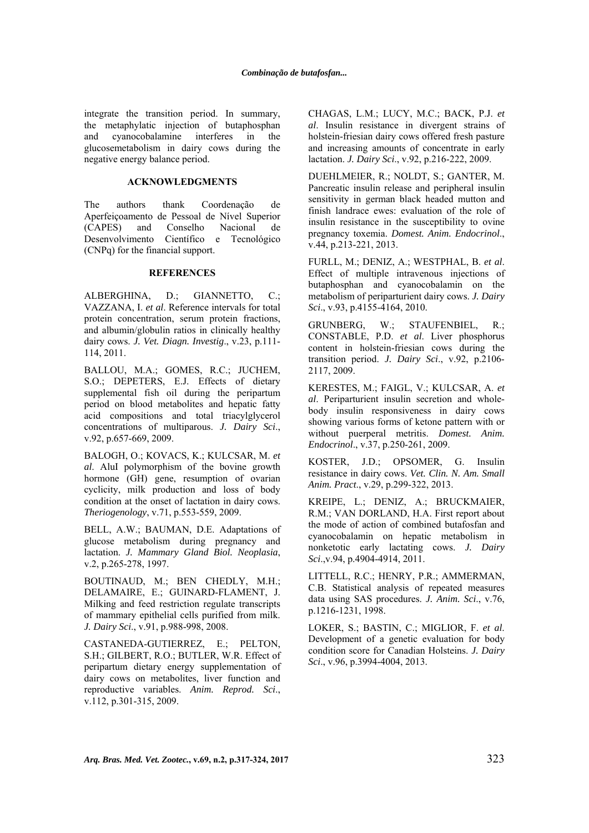integrate the transition period. In summary, the metaphylatic injection of butaphosphan and cyanocobalamine interferes in the glucosemetabolism in dairy cows during the negative energy balance period.

### **ACKNOWLEDGMENTS**

The authors thank Coordenação de Aperfeiçoamento de Pessoal de Nível Superior (CAPES) and Conselho Nacional de Desenvolvimento Científico e Tecnológico (CNPq) for the financial support.

#### **REFERENCES**

ALBERGHINA, D.; GIANNETTO, C.; VAZZANA, I. *et al*. Reference intervals for total protein concentration, serum protein fractions, and albumin/globulin ratios in clinically healthy dairy cows. *J. Vet. Diagn. Investig*., v.23, p.111- 114, 2011.

BALLOU, M.A.; GOMES, R.C.; JUCHEM, S.O.; DEPETERS, E.J. Effects of dietary supplemental fish oil during the peripartum period on blood metabolites and hepatic fatty acid compositions and total triacylglycerol concentrations of multiparous. *J. Dairy Sci*., v.92, p.657-669, 2009.

BALOGH, O.; KOVACS, K.; KULCSAR, M. *et al*. AluI polymorphism of the bovine growth hormone (GH) gene, resumption of ovarian cyclicity, milk production and loss of body condition at the onset of lactation in dairy cows. *Theriogenology*, v.71, p.553-559, 2009.

BELL, A.W.; BAUMAN, D.E. Adaptations of glucose metabolism during pregnancy and lactation. *J. Mammary Gland Biol. Neoplasia*, v.2, p.265-278, 1997.

BOUTINAUD, M.; BEN CHEDLY, M.H.; DELAMAIRE, E.; GUINARD-FLAMENT, J. Milking and feed restriction regulate transcripts of mammary epithelial cells purified from milk. *J. Dairy Sci*., v.91, p.988-998, 2008.

CASTANEDA-GUTIERREZ, E.; PELTON, S.H.; GILBERT, R.O.; BUTLER, W.R. Effect of peripartum dietary energy supplementation of dairy cows on metabolites, liver function and reproductive variables. *Anim. Reprod. Sci*., v.112, p.301-315, 2009.

CHAGAS, L.M.; LUCY, M.C.; BACK, P.J. *et al*. Insulin resistance in divergent strains of holstein-friesian dairy cows offered fresh pasture and increasing amounts of concentrate in early lactation. *J. Dairy Sci*., v.92, p.216-222, 2009.

DUEHLMEIER, R.; NOLDT, S.; GANTER, M. Pancreatic insulin release and peripheral insulin sensitivity in german black headed mutton and finish landrace ewes: evaluation of the role of insulin resistance in the susceptibility to ovine pregnancy toxemia. *Domest. Anim. Endocrinol*., v.44, p.213-221, 2013.

FURLL, M.; DENIZ, A.; WESTPHAL, B. *et al*. Effect of multiple intravenous injections of butaphosphan and cyanocobalamin on the metabolism of periparturient dairy cows. *J. Dairy Sci*., v.93, p.4155-4164, 2010.

GRUNBERG, W.; STAUFENBIEL, R.; CONSTABLE, P.D. *et al*. Liver phosphorus content in holstein-friesian cows during the transition period. *J. Dairy Sci*., v.92, p.2106- 2117, 2009.

KERESTES, M.; FAIGL, V.; KULCSAR, A. *et al*. Periparturient insulin secretion and wholebody insulin responsiveness in dairy cows showing various forms of ketone pattern with or without puerperal metritis. *Domest. Anim. Endocrinol*., v.37, p.250-261, 2009.

KOSTER, J.D.; OPSOMER, G. Insulin resistance in dairy cows. *Vet. Clin. N. Am. Small Anim. Pract*., v.29, p.299-322, 2013.

KREIPE, L.; DENIZ, A.; BRUCKMAIER, R.M.; VAN DORLAND, H.A. First report about the mode of action of combined butafosfan and cyanocobalamin on hepatic metabolism in nonketotic early lactating cows. *J. Dairy Sci*.,v.94, p.4904-4914, 2011.

LITTELL, R.C.; HENRY, P.R.; AMMERMAN, C.B. Statistical analysis of repeated measures data using SAS procedures. *J. Anim. Sci*., v.76, p.1216-1231, 1998.

LOKER, S.; BASTIN, C.; MIGLIOR, F. *et al*. Development of a genetic evaluation for body condition score for Canadian Holsteins. *J. Dairy Sci*., v.96, p.3994-4004, 2013.